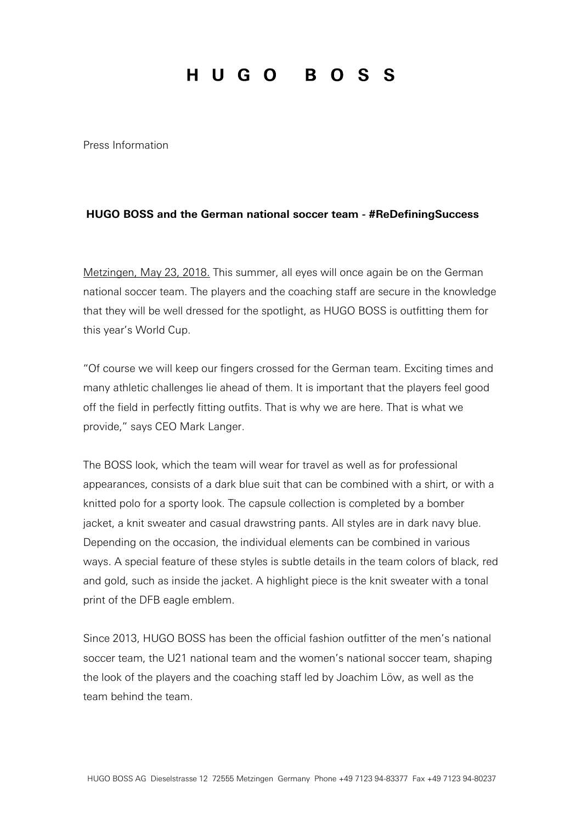## HUGO BOSS

Press Information

## **HUGO BOSS and the German national soccer team - #ReDefiningSuccess**

Metzingen, May 23, 2018. This summer, all eyes will once again be on the German national soccer team. The players and the coaching staff are secure in the knowledge that they will be well dressed for the spotlight, as HUGO BOSS is outfitting them for this year's World Cup.

"Of course we will keep our fingers crossed for the German team. Exciting times and many athletic challenges lie ahead of them. It is important that the players feel good off the field in perfectly fitting outfits. That is why we are here. That is what we provide," says CEO Mark Langer.

The BOSS look, which the team will wear for travel as well as for professional appearances, consists of a dark blue suit that can be combined with a shirt, or with a knitted polo for a sporty look. The capsule collection is completed by a bomber jacket, a knit sweater and casual drawstring pants. All styles are in dark navy blue. Depending on the occasion, the individual elements can be combined in various ways. A special feature of these styles is subtle details in the team colors of black, red and gold, such as inside the jacket. A highlight piece is the knit sweater with a tonal print of the DFB eagle emblem.

Since 2013, HUGO BOSS has been the official fashion outfitter of the men's national soccer team, the U21 national team and the women's national soccer team, shaping the look of the players and the coaching staff led by Joachim Löw, as well as the team behind the team.